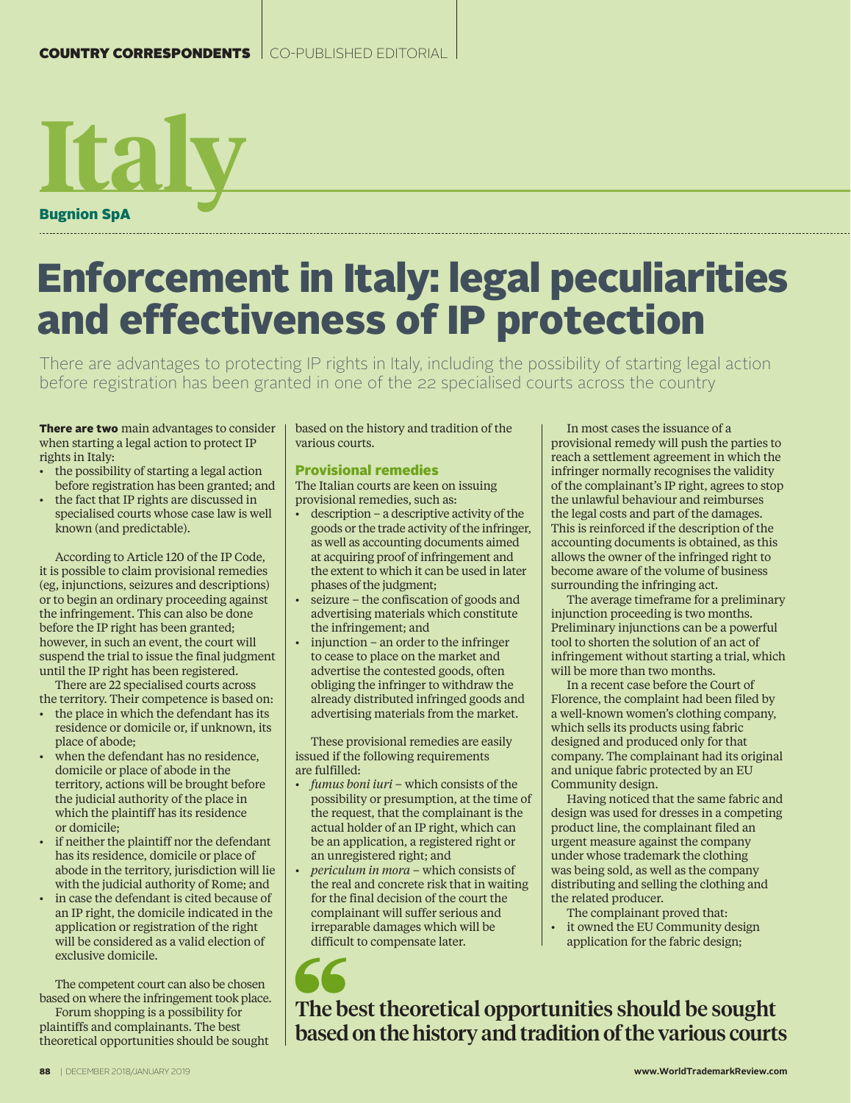# **Italy** Bugnion SpA

## Enforcement in Italy: legal peculiarities and effectiveness of IP protection

There are advantages to protecting IP rights in Italy, including the possibility of starting legal action before registration has been granted in one of the 22 specialised courts across the country

There are two main advantages to consider when starting a legal action to protect IP rights in Italy:

- the possibility of starting a legal action before registration has been granted; and
- the fact that IP rights are discussed in specialised courts whose case law is well known (and predictable).

According to Article 120 of the IP Code, it is possible to claim provisional remedies (eg, injunctions, seizures and descriptions) or to begin an ordinary proceeding against the infringement. This can also be done before the IP right has been granted; however, in such an event, the court will suspend the trial to issue the final judgment until the IP right has been registered.

There are 22 specialised courts across the territory. Their competence is based on:

- the place in which the defendant has its residence or domicile or, if unknown, its place of abode;
- when the defendant has no residence, domicile or place of abode in the territory, actions will be brought before the judicial authority of the place in which the plaintiff has its residence or domicile;
- if neither the plaintiff nor the defendant has its residence, domicile or place of abode in the territory, jurisdiction will lie with the judicial authority of Rome; and
- in case the defendant is cited because of an IP right, the domicile indicated in the application or registration of the right will be considered as a valid election of exclusive domicile.

The competent court can also be chosen based on where the infringement took place.

Forum shopping is a possibility for plaintiffs and complainants. The best theoretical opportunities should be sought based on the history and tradition of the various courts.

### Provisional remedies

The Italian courts are keen on issuing provisional remedies, such as:

- description a descriptive activity of the goods or the trade activity of the infringer, as well as accounting documents aimed at acquiring proof of infringement and the extent to which it can be used in later phases of the judgment;
- seizure the confiscation of goods and advertising materials which constitute the infringement; and
- injunction an order to the infringer to cease to place on the market and advertise the contested goods, often obliging the infringer to withdraw the already distributed infringed goods and advertising materials from the market.

These provisional remedies are easily issued if the following requirements are fulfilled:

- *fumus boni iuri* which consists of the possibility or presumption, at the time of the request, that the complainant is the actual holder of an IP right, which can be an application, a registered right or an unregistered right; and
- *periculum in mora* which consists of the real and concrete risk that in waiting for the final decision of the court the complainant will suffer serious and irreparable damages which will be difficult to compensate later.

In most cases the issuance of a provisional remedy will push the parties to reach a settlement agreement in which the infringer normally recognises the validity of the complainant's IP right, agrees to stop the unlawful behaviour and reimburses the legal costs and part of the damages. This is reinforced if the description of the accounting documents is obtained, as this allows the owner of the infringed right to become aware of the volume of business surrounding the infringing act.

The average timeframe for a preliminary injunction proceeding is two months. Preliminary injunctions can be a powerful tool to shorten the solution of an act of infringement without starting a trial, which will be more than two months.

In a recent case before the Court of Florence, the complaint had been filed by a well-known women's clothing company, which sells its products using fabric designed and produced only for that company. The complainant had its original and unique fabric protected by an EU Community design.

Having noticed that the same fabric and design was used for dresses in a competing product line, the complainant filed an urgent measure against the company under whose trademark the clothing was being sold, as well as the company distributing and selling the clothing and the related producer.

The complainant proved that: it owned the EU Community design application for the fabric design;

The best theoretical opportunities should be sought based on the history and tradition of the various courts